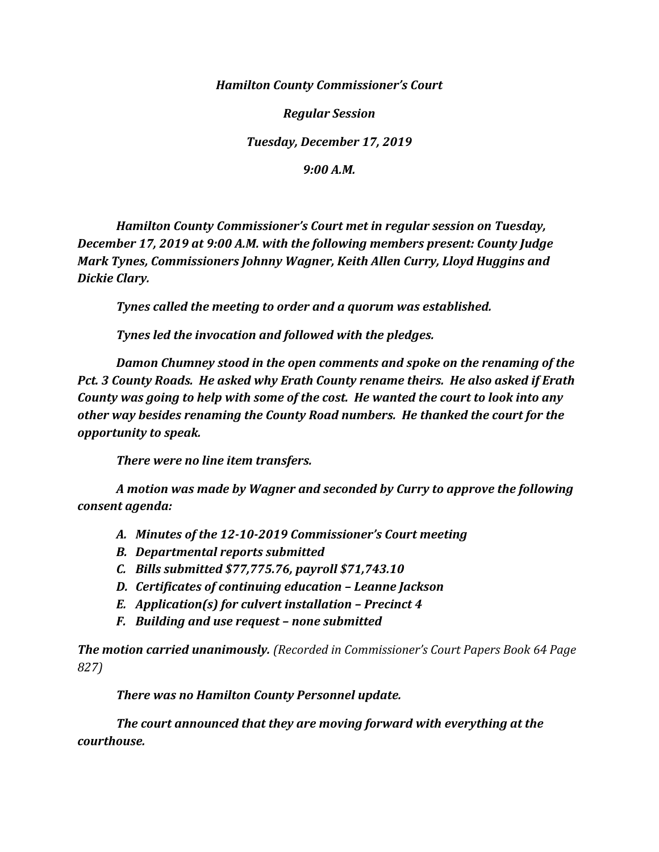*Hamilton County Commissioner's Court*

*Regular Session*

*Tuesday, December 17, 2019*

*9:00 A.M.*

*Hamilton County Commissioner's Court met in regular session on Tuesday, December 17, 2019 at 9:00 A.M. with the following members present: County Judge Mark Tynes, Commissioners Johnny Wagner, Keith Allen Curry, Lloyd Huggins and Dickie Clary.*

*Tynes called the meeting to order and a quorum was established.*

*Tynes led the invocation and followed with the pledges.*

*Damon Chumney stood in the open comments and spoke on the renaming of the Pct. 3 County Roads. He asked why Erath County rename theirs. He also asked if Erath County was going to help with some of the cost. He wanted the court to look into any other way besides renaming the County Road numbers. He thanked the court for the opportunity to speak.*

*There were no line item transfers.*

*A motion was made by Wagner and seconded by Curry to approve the following consent agenda:*

- *A. Minutes of the 12-10-2019 Commissioner's Court meeting*
- *B. Departmental reports submitted*
- *C. Bills submitted \$77,775.76, payroll \$71,743.10*
- *D. Certificates of continuing education – Leanne Jackson*
- *E. Application(s) for culvert installation – Precinct 4*
- *F. Building and use request – none submitted*

*The motion carried unanimously. (Recorded in Commissioner's Court Papers Book 64 Page 827)*

*There was no Hamilton County Personnel update.*

*The court announced that they are moving forward with everything at the courthouse.*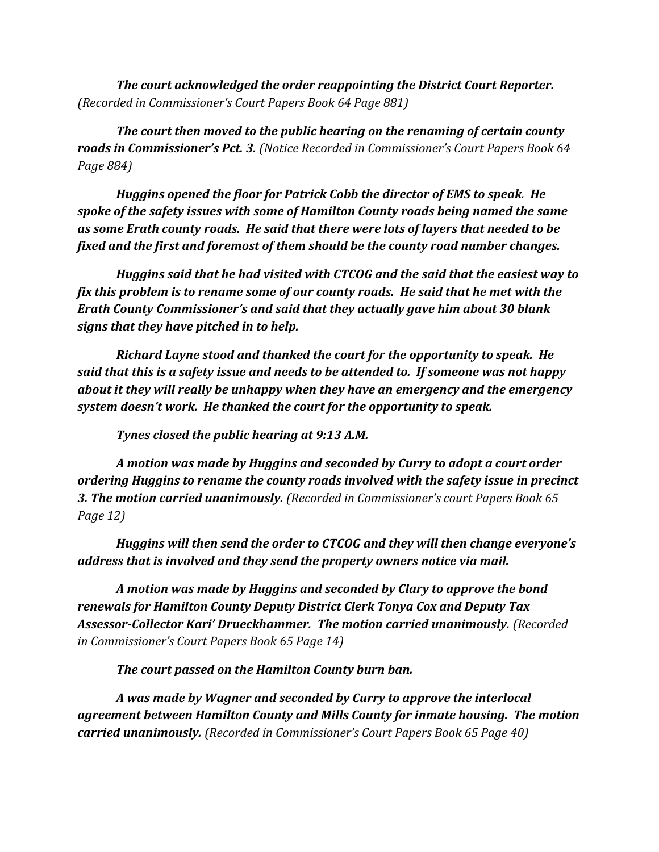*The court acknowledged the order reappointing the District Court Reporter. (Recorded in Commissioner's Court Papers Book 64 Page 881)*

*The court then moved to the public hearing on the renaming of certain county roads in Commissioner's Pct. 3. (Notice Recorded in Commissioner's Court Papers Book 64 Page 884)*

*Huggins opened the floor for Patrick Cobb the director of EMS to speak. He spoke of the safety issues with some of Hamilton County roads being named the same as some Erath county roads. He said that there were lots of layers that needed to be fixed and the first and foremost of them should be the county road number changes.*

*Huggins said that he had visited with CTCOG and the said that the easiest way to fix this problem is to rename some of our county roads. He said that he met with the Erath County Commissioner's and said that they actually gave him about 30 blank signs that they have pitched in to help.*

*Richard Layne stood and thanked the court for the opportunity to speak. He said that this is a safety issue and needs to be attended to. If someone was not happy about it they will really be unhappy when they have an emergency and the emergency system doesn't work. He thanked the court for the opportunity to speak.*

*Tynes closed the public hearing at 9:13 A.M.*

*A motion was made by Huggins and seconded by Curry to adopt a court order ordering Huggins to rename the county roads involved with the safety issue in precinct 3. The motion carried unanimously. (Recorded in Commissioner's court Papers Book 65 Page 12)*

*Huggins will then send the order to CTCOG and they will then change everyone's address that is involved and they send the property owners notice via mail.*

*A motion was made by Huggins and seconded by Clary to approve the bond renewals for Hamilton County Deputy District Clerk Tonya Cox and Deputy Tax Assessor-Collector Kari' Drueckhammer. The motion carried unanimously. (Recorded in Commissioner's Court Papers Book 65 Page 14)*

*The court passed on the Hamilton County burn ban.*

*A was made by Wagner and seconded by Curry to approve the interlocal agreement between Hamilton County and Mills County for inmate housing. The motion carried unanimously. (Recorded in Commissioner's Court Papers Book 65 Page 40)*